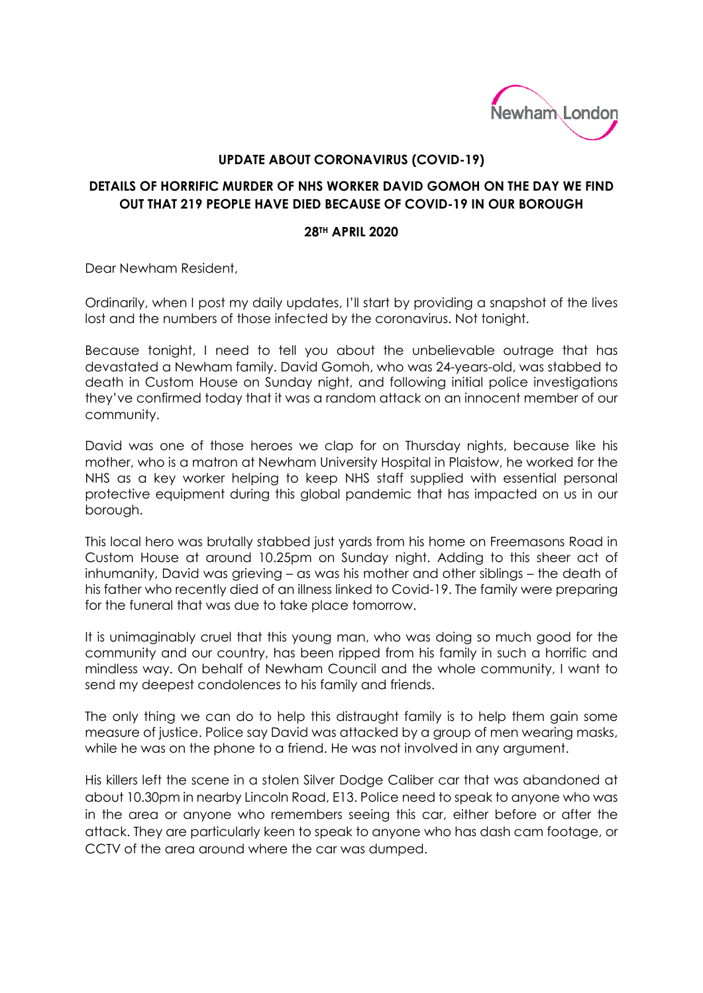

## **UPDATE ABOUT CORONAVIRUS (COVID-19)**

## **DETAILS OF HORRIFIC MURDER OF NHS WORKER DAVID GOMOH ON THE DAY WE FIND OUT THAT 219 PEOPLE HAVE DIED BECAUSE OF COVID-19 IN OUR BOROUGH**

## **28TH APRIL 2020**

Dear Newham Resident,

Ordinarily, when I post my daily updates, I'll start by providing a snapshot of the lives lost and the numbers of those infected by the coronavirus. Not tonight.

Because tonight, I need to tell you about the unbelievable outrage that has devastated a Newham family. David Gomoh, who was 24-years-old, was stabbed to death in Custom House on Sunday night, and following initial police investigations they've confirmed today that it was a random attack on an innocent member of our community.

David was one of those heroes we clap for on Thursday nights, because like his mother, who is a matron at Newham University Hospital in Plaistow, he worked for the NHS as a key worker helping to keep NHS staff supplied with essential personal protective equipment during this global pandemic that has impacted on us in our borough.

This local hero was brutally stabbed just yards from his home on Freemasons Road in Custom House at around 10.25pm on Sunday night. Adding to this sheer act of inhumanity, David was grieving – as was his mother and other siblings – the death of his father who recently died of an illness linked to Covid-19. The family were preparing for the funeral that was due to take place tomorrow.

It is unimaginably cruel that this young man, who was doing so much good for the community and our country, has been ripped from his family in such a horrific and mindless way. On behalf of Newham Council and the whole community, I want to send my deepest condolences to his family and friends.

The only thing we can do to help this distraught family is to help them gain some measure of justice. Police say David was attacked by a group of men wearing masks, while he was on the phone to a friend. He was not involved in any argument.

His killers left the scene in a stolen Silver Dodge Caliber car that was abandoned at about 10.30pm in nearby Lincoln Road, E13. Police need to speak to anyone who was in the area or anyone who remembers seeing this car, either before or after the attack. They are particularly keen to speak to anyone who has dash cam footage, or CCTV of the area around where the car was dumped.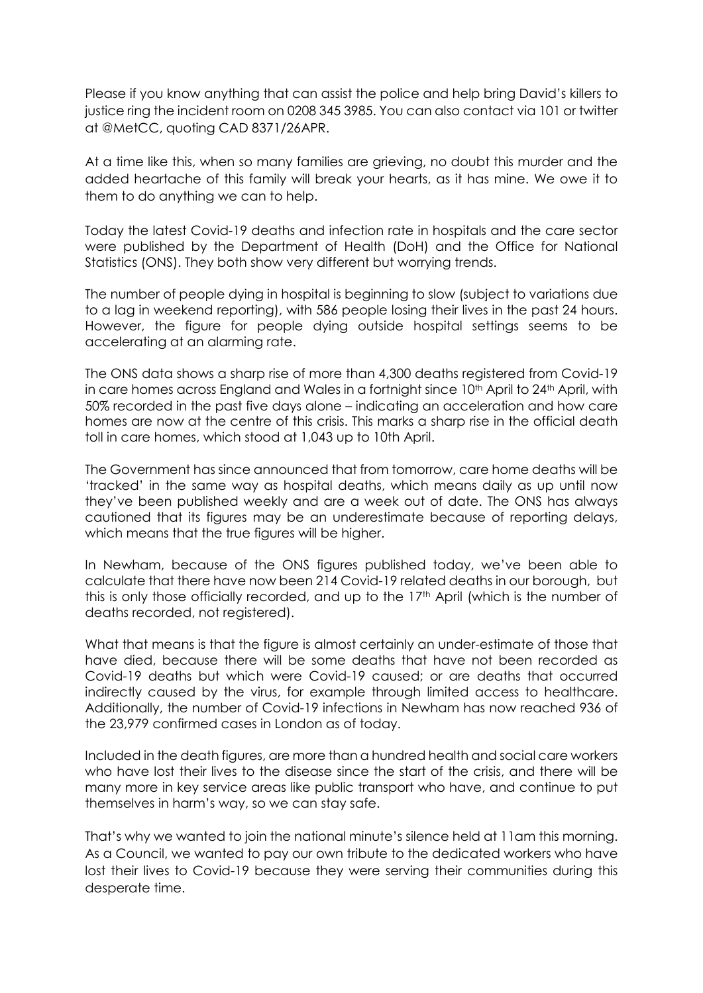Please if you know anything that can assist the police and help bring David's killers to justice ring the incident room on 0208 345 3985. You can also contact via 101 or twitter at @MetCC, quoting CAD 8371/26APR.

At a time like this, when so many families are grieving, no doubt this murder and the added heartache of this family will break your hearts, as it has mine. We owe it to them to do anything we can to help.

Today the latest Covid-19 deaths and infection rate in hospitals and the care sector were published by the Department of Health (DoH) and the Office for National Statistics (ONS). They both show very different but worrying trends.

The number of people dying in hospital is beginning to slow (subject to variations due to a lag in weekend reporting), with 586 people losing their lives in the past 24 hours. However, the figure for people dying outside hospital settings seems to be accelerating at an alarming rate.

The ONS data shows a sharp rise of more than 4,300 deaths registered from Covid-19 in care homes across England and Wales in a fortnight since 10<sup>th</sup> April to 24<sup>th</sup> April, with 50% recorded in the past five days alone – indicating an acceleration and how care homes are now at the centre of this crisis. This marks a sharp rise in the official death toll in care homes, which stood at 1,043 up to 10th April.

The Government has since announced that from tomorrow, care home deaths will be 'tracked' in the same way as hospital deaths, which means daily as up until now they've been published weekly and are a week out of date. The ONS has always cautioned that its figures may be an underestimate because of reporting delays, which means that the true figures will be higher.

In Newham, because of the ONS figures published today, we've been able to calculate that there have now been 214 Covid-19 related deaths in our borough, but this is only those officially recorded, and up to the 17<sup>th</sup> April (which is the number of deaths recorded, not registered).

What that means is that the figure is almost certainly an under-estimate of those that have died, because there will be some deaths that have not been recorded as Covid-19 deaths but which were Covid-19 caused; or are deaths that occurred indirectly caused by the virus, for example through limited access to healthcare. Additionally, the number of Covid-19 infections in Newham has now reached 936 of the 23,979 confirmed cases in London as of today.

Included in the death figures, are more than a hundred health and social care workers who have lost their lives to the disease since the start of the crisis, and there will be many more in key service areas like public transport who have, and continue to put themselves in harm's way, so we can stay safe.

That's why we wanted to join the national minute's silence held at 11am this morning. As a Council, we wanted to pay our own tribute to the dedicated workers who have lost their lives to Covid-19 because they were serving their communities during this desperate time.